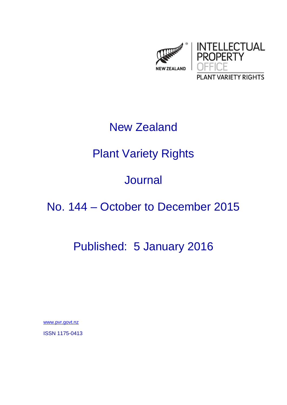

### New Zealand

# Plant Variety Rights

## Journal

## No. 144 – October to December 2015

## Published: 5 January 2016

www.pvr.govt.nz

ISSN 1175-0413